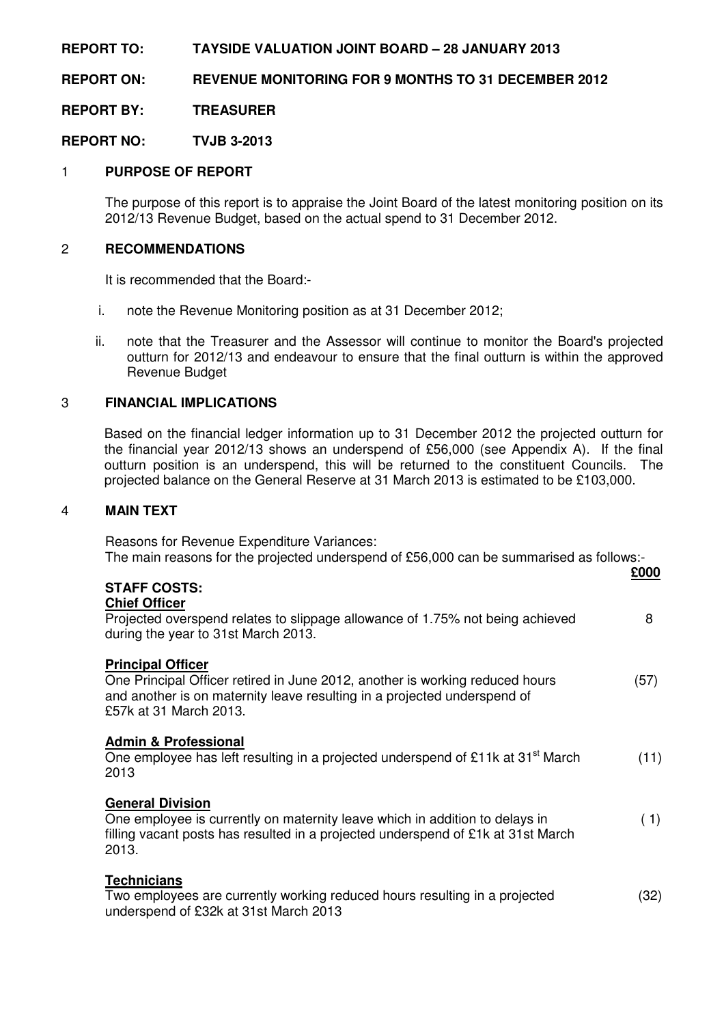# **REPORT TO: TAYSIDE VALUATION JOINT BOARD – 28 JANUARY 2013**

**REPORT ON: REVENUE MONITORING FOR 9 MONTHS TO 31 DECEMBER 2012** 

**REPORT BY: TREASURER** 

**REPORT NO: TVJB 3-2013** 

# 1 **PURPOSE OF REPORT**

 The purpose of this report is to appraise the Joint Board of the latest monitoring position on its 2012/13 Revenue Budget, based on the actual spend to 31 December 2012.

### 2 **RECOMMENDATIONS**

It is recommended that the Board:-

- i. note the Revenue Monitoring position as at 31 December 2012;
- ii. note that the Treasurer and the Assessor will continue to monitor the Board's projected outturn for 2012/13 and endeavour to ensure that the final outturn is within the approved Revenue Budget

# 3 **FINANCIAL IMPLICATIONS**

 Based on the financial ledger information up to 31 December 2012 the projected outturn for the financial year 2012/13 shows an underspend of £56,000 (see Appendix A). If the final outturn position is an underspend, this will be returned to the constituent Councils. The projected balance on the General Reserve at 31 March 2013 is estimated to be £103,000.

### 4 **MAIN TEXT**

 Reasons for Revenue Expenditure Variances: The main reasons for the projected underspend of £56,000 can be summarised as follows:-

| <b>STAFF COSTS:</b>                                                                                                                                                                                            | £000 |
|----------------------------------------------------------------------------------------------------------------------------------------------------------------------------------------------------------------|------|
| <b>Chief Officer</b><br>Projected overspend relates to slippage allowance of 1.75% not being achieved<br>during the year to 31st March 2013.                                                                   | 8    |
| <b>Principal Officer</b><br>One Principal Officer retired in June 2012, another is working reduced hours<br>and another is on maternity leave resulting in a projected underspend of<br>£57k at 31 March 2013. | (57) |
| <b>Admin &amp; Professional</b><br>One employee has left resulting in a projected underspend of £11k at 31 <sup>st</sup> March<br>2013                                                                         | (11) |
| <b>General Division</b><br>One employee is currently on maternity leave which in addition to delays in<br>filling vacant posts has resulted in a projected underspend of £1k at 31st March<br>2013.            | (1)  |
| <b>Technicians</b><br>Two employees are currently working reduced hours resulting in a projected<br>underspend of £32k at 31st March 2013                                                                      | (32) |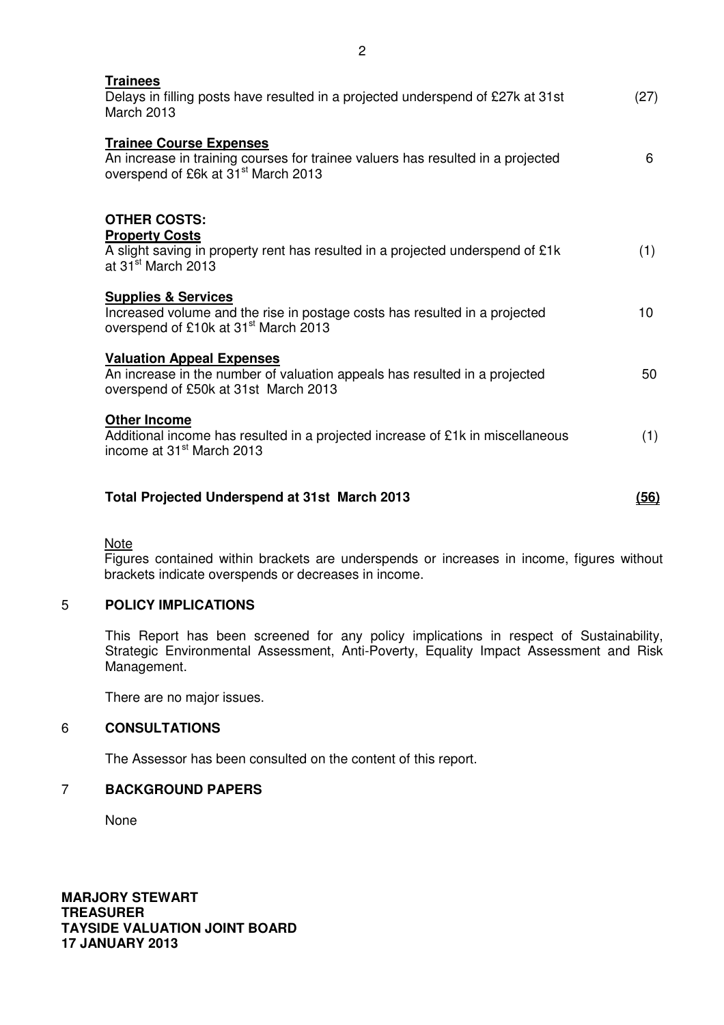| <b>Trainees</b><br>Delays in filling posts have resulted in a projected underspend of £27k at 31st<br><b>March 2013</b>                                              | (27) |
|----------------------------------------------------------------------------------------------------------------------------------------------------------------------|------|
| <b>Trainee Course Expenses</b><br>An increase in training courses for trainee valuers has resulted in a projected<br>overspend of £6k at 31 <sup>st</sup> March 2013 | 6    |
| <b>OTHER COSTS:</b>                                                                                                                                                  |      |
| <b>Property Costs</b>                                                                                                                                                |      |
| A slight saving in property rent has resulted in a projected underspend of £1k<br>at 31 <sup>st</sup> March 2013                                                     | (1)  |
| <b>Supplies &amp; Services</b>                                                                                                                                       |      |
| Increased volume and the rise in postage costs has resulted in a projected<br>overspend of £10k at 31 <sup>st</sup> March 2013                                       | 10   |
| <b>Valuation Appeal Expenses</b>                                                                                                                                     |      |
| An increase in the number of valuation appeals has resulted in a projected<br>overspend of £50k at 31st March 2013                                                   | 50   |
| <b>Other Income</b>                                                                                                                                                  |      |
| Additional income has resulted in a projected increase of £1k in miscellaneous<br>income at 31 <sup>st</sup> March 2013                                              | (1)  |
| <b>Total Projected Underspend at 31st March 2013</b>                                                                                                                 | (56) |
|                                                                                                                                                                      |      |

**Note** 

 Figures contained within brackets are underspends or increases in income, figures without brackets indicate overspends or decreases in income.

# 5 **POLICY IMPLICATIONS**

This Report has been screened for any policy implications in respect of Sustainability, Strategic Environmental Assessment, Anti-Poverty, Equality Impact Assessment and Risk Management.

There are no major issues.

### 6 **CONSULTATIONS**

The Assessor has been consulted on the content of this report.

### 7 **BACKGROUND PAPERS**

None

**MARJORY STEWART TREASURER TAYSIDE VALUATION JOINT BOARD 17 JANUARY 2013**